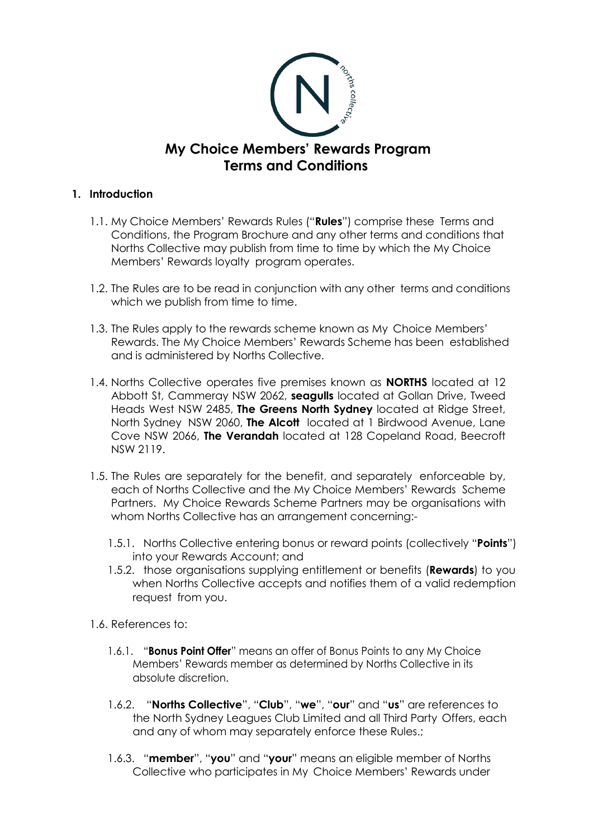

## **1. Introduction**

- 1.1. My Choice Members' Rewards Rules ("**Rules**") comprise these Terms and Conditions, the Program Brochure and any other terms and conditions that Norths Collective may publish from time to time by which the My Choice Members' Rewards loyalty program operates.
- 1.2. The Rules are to be read in conjunction with any other terms and conditions which we publish from time to time.
- 1.3. The Rules apply to the rewards scheme known as My Choice Members' Rewards. The My Choice Members' Rewards Scheme has been established and is administered by Norths Collective.
- 1.4. Norths Collective operates five premises known as **NORTHS** located at 12 Abbott St, Cammeray NSW 2062, **seagulls** located at Gollan Drive, Tweed Heads West NSW 2485, **The Greens North Sydney** located at Ridge Street, North Sydney NSW 2060, **The Alcott** located at 1 Birdwood Avenue, Lane Cove NSW 2066, **The Verandah** located at 128 Copeland Road, Beecroft NSW 2119.
- 1.5. The Rules are separately for the benefit, and separately enforceable by, each of Norths Collective and the My Choice Members' Rewards Scheme Partners. My Choice Rewards Scheme Partners may be organisations with whom Norths Collective has an arrangement concerning:-
	- 1.5.1. Norths Collective entering bonus or reward points (collectively "**Points**") into your Rewards Account; and
	- 1.5.2. those organisations supplying entitlement or benefits (**Rewards**) to you when Norths Collective accepts and notifies them of a valid redemption request from you.
- 1.6. References to:
	- 1.6.1. "**Bonus Point Offer**" means an offer of Bonus Points to any My Choice Members' Rewards member as determined by Norths Collective in its absolute discretion.
	- 1.6.2. "**Norths Collective**", "**Club**", "**we**", "**our**" and "**us**" are references to the North Sydney Leagues Club Limited and all Third Party Offers, each and any of whom may separately enforce these Rules.;
	- 1.6.3. "**member**", "**you**" and "**your**" means an eligible member of Norths Collective who participates in My Choice Members' Rewards under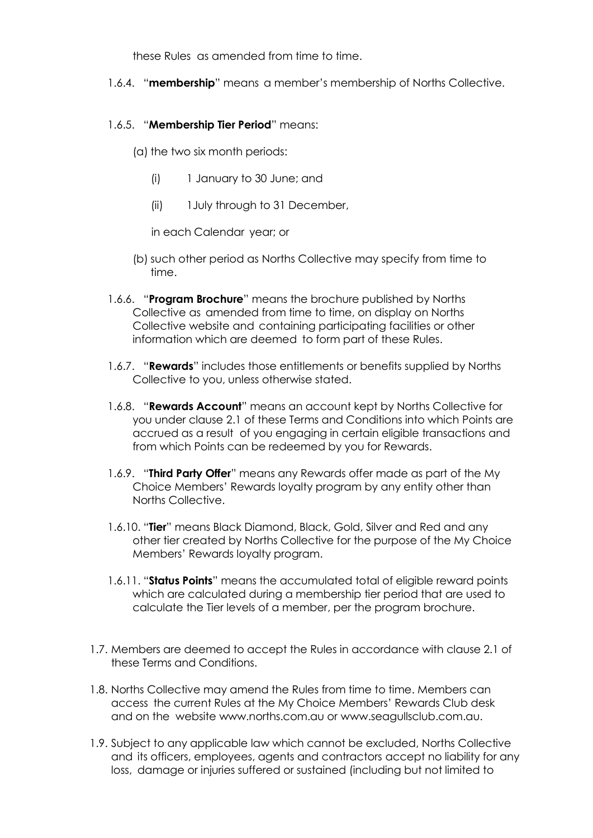these Rules as amended from time to time.

1.6.4. "**membership**" means a member's membership of Norths Collective.

## 1.6.5. "**Membership Tier Period**" means:

(a) the two six month periods:

- (i) 1 January to 30 June; and
- (ii) 1July through to 31 December,

in each Calendar year; or

- (b) such other period as Norths Collective may specify from time to time.
- 1.6.6. "**Program Brochure**" means the brochure published by Norths Collective as amended from time to time, on display on Norths Collective website and containing participating facilities or other information which are deemed to form part of these Rules.
- 1.6.7. "**Rewards**" includes those entitlements or benefits supplied by Norths Collective to you, unless otherwise stated.
- 1.6.8. "**Rewards Account**" means an account kept by Norths Collective for you under clause 2.1 of these Terms and Conditions into which Points are accrued as a result of you engaging in certain eligible transactions and from which Points can be redeemed by you for Rewards.
- 1.6.9. "**Third Party Offer**" means any Rewards offer made as part of the My Choice Members' Rewards loyalty program by any entity other than Norths Collective.
- 1.6.10. "**Tier**" means Black Diamond, Black, Gold, Silver and Red and any other tier created by Norths Collective for the purpose of the My Choice Members' Rewards loyalty program.
- 1.6.11. "**Status Points**" means the accumulated total of eligible reward points which are calculated during a membership tier period that are used to calculate the Tier levels of a member, per the program brochure.
- 1.7. Members are deemed to accept the Rules in accordance with clause 2.1 of these Terms and Conditions.
- 1.8. Norths Collective may amend the Rules from time to time. Members can access the current Rules at the My Choice Members' Rewards Club desk and on the website [www.norths.com.au](http://www.norths.com.au/) or [www.seagullsclub.com.au.](http://www.seagullsclub.com.au/)
- 1.9. Subject to any applicable law which cannot be excluded, Norths Collective and its officers, employees, agents and contractors accept no liability for any loss, damage or injuries suffered or sustained (including but not limited to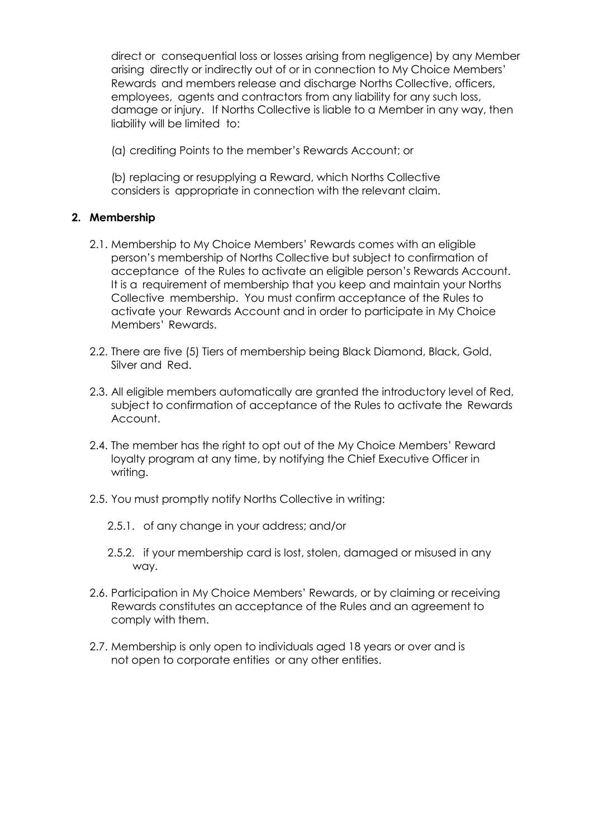direct or consequential loss or losses arising from negligence) by any Member arising directly or indirectly out of or in connection to My Choice Members' Rewards and members release and discharge Norths Collective, officers, employees, agents and contractors from any liability for any such loss, damage or injury. If Norths Collective is liable to a Member in any way, then liability will be limited to:

(a) crediting Points to the member's Rewards Account; or

(b) replacing or resupplying a Reward, which Norths Collective considers is appropriate in connection with the relevant claim.

## **2. Membership**

- 2.1. Membership to My Choice Members' Rewards comes with an eligible person's membership of Norths Collective but subject to confirmation of acceptance of the Rules to activate an eligible person's Rewards Account. It is a requirement of membership that you keep and maintain your Norths Collective membership. You must confirm acceptance of the Rules to activate your Rewards Account and in order to participate in My Choice Members' Rewards.
- 2.2. There are five (5) Tiers of membership being Black Diamond, Black, Gold, Silver and Red.
- 2.3. All eligible members automatically are granted the introductory level of Red, subject to confirmation of acceptance of the Rules to activate the Rewards Account.
- 2.4. The member has the right to opt out of the My Choice Members' Reward loyalty program at any time, by notifying the Chief Executive Officer in writing.
- 2.5. You must promptly notify Norths Collective in writing:
	- 2.5.1. of any change in your address; and/or
	- 2.5.2. if your membership card is lost, stolen, damaged or misused in any way.
- 2.6. Participation in My Choice Members' Rewards, or by claiming or receiving Rewards constitutes an acceptance of the Rules and an agreement to comply with them.
- 2.7. Membership is only open to individuals aged 18 years or over and is not open to corporate entities or any other entities.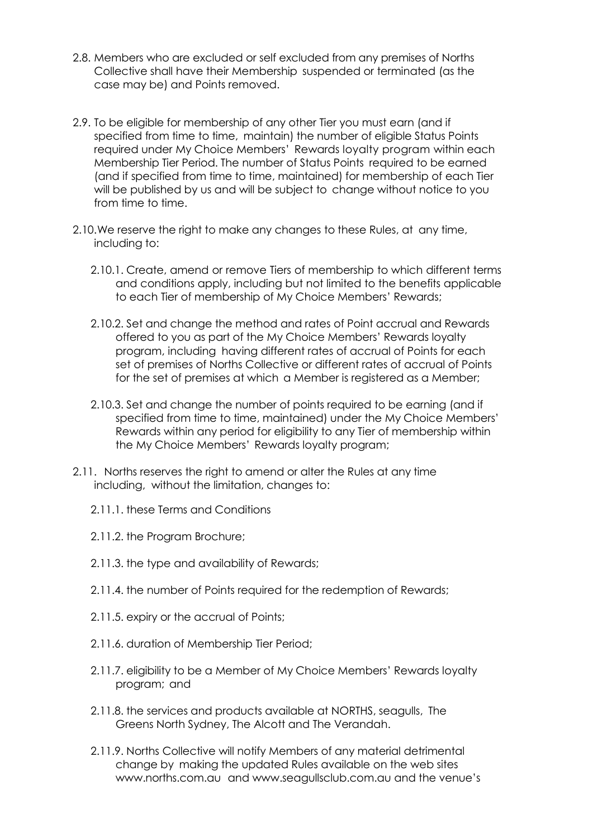- 2.8. Members who are excluded or self excluded from any premises of Norths Collective shall have their Membership suspended or terminated (as the case may be) and Points removed.
- 2.9. To be eligible for membership of any other Tier you must earn (and if specified from time to time, maintain) the number of eligible Status Points required under My Choice Members' Rewards loyalty program within each Membership Tier Period. The number of Status Points required to be earned (and if specified from time to time, maintained) for membership of each Tier will be published by us and will be subject to change without notice to you from time to time.
- 2.10.We reserve the right to make any changes to these Rules, at any time, including to:
	- 2.10.1. Create, amend or remove Tiers of membership to which different terms and conditions apply, including but not limited to the benefits applicable to each Tier of membership of My Choice Members' Rewards;
	- 2.10.2. Set and change the method and rates of Point accrual and Rewards offered to you as part of the My Choice Members' Rewards loyalty program, including having different rates of accrual of Points for each set of premises of Norths Collective or different rates of accrual of Points for the set of premises at which a Member is registered as a Member;
	- 2.10.3. Set and change the number of points required to be earning (and if specified from time to time, maintained) under the My Choice Members' Rewards within any period for eligibility to any Tier of membership within the My Choice Members' Rewards loyalty program;
- 2.11. Norths reserves the right to amend or alter the Rules at any time including, without the limitation, changes to:
	- 2.11.1. these Terms and Conditions
	- 2.11.2. the Program Brochure;
	- 2.11.3. the type and availability of Rewards;
	- 2.11.4. the number of Points required for the redemption of Rewards;
	- 2.11.5. expiry or the accrual of Points;
	- 2.11.6. duration of Membership Tier Period;
	- 2.11.7. eligibility to be a Member of My Choice Members' Rewards loyalty program; and
	- 2.11.8. the services and products available at NORTHS, seagulls, The Greens North Sydney, The Alcott and The Verandah.
	- 2.11.9. Norths Collective will notify Members of any material detrimental change by making the updated Rules available on the web sites [www.norths.com.au](http://www.norths.com.au/) and [www.seagullsclub.com.au](http://www.seagullsclub.com.au/) and the venue's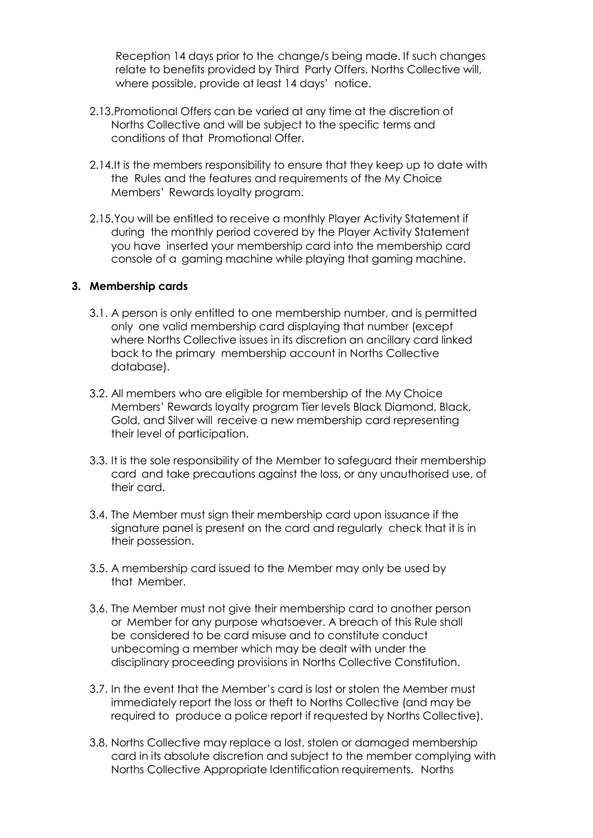Reception 14 days prior to the change/s being made. If such changes relate to benefits provided by Third Party Offers, Norths Collective will, where possible, provide at least 14 days' notice.

- 2.13.Promotional Offers can be varied at any time at the discretion of Norths Collective and will be subject to the specific terms and conditions of that Promotional Offer.
- 2.14.It is the members responsibility to ensure that they keep up to date with the Rules and the features and requirements of the My Choice Members' Rewards loyalty program.
- 2.15.You will be entitled to receive a monthly Player Activity Statement if during the monthly period covered by the Player Activity Statement you have inserted your membership card into the membership card console of a gaming machine while playing that gaming machine.

#### **3. Membership cards**

- 3.1. A person is only entitled to one membership number, and is permitted only one valid membership card displaying that number (except where Norths Collective issues in its discretion an ancillary card linked back to the primary membership account in Norths Collective database).
- 3.2. All members who are eligible for membership of the My Choice Members' Rewards loyalty program Tier levels Black Diamond, Black, Gold, and Silver will receive a new membership card representing their level of participation.
- 3.3. It is the sole responsibility of the Member to safeguard their membership card and take precautions against the loss, or any unauthorised use, of their card.
- 3.4. The Member must sign their membership card upon issuance if the signature panel is present on the card and regularly check that it is in their possession.
- 3.5. A membership card issued to the Member may only be used by that Member.
- 3.6. The Member must not give their membership card to another person or Member for any purpose whatsoever. A breach of this Rule shall be considered to be card misuse and to constitute conduct unbecoming a member which may be dealt with under the disciplinary proceeding provisions in Norths Collective Constitution.
- 3.7. In the event that the Member's card is lost or stolen the Member must immediately report the loss or theft to Norths Collective (and may be required to produce a police report if requested by Norths Collective).
- 3.8. Norths Collective may replace a lost, stolen or damaged membership card in its absolute discretion and subject to the member complying with Norths Collective Appropriate Identification requirements. Norths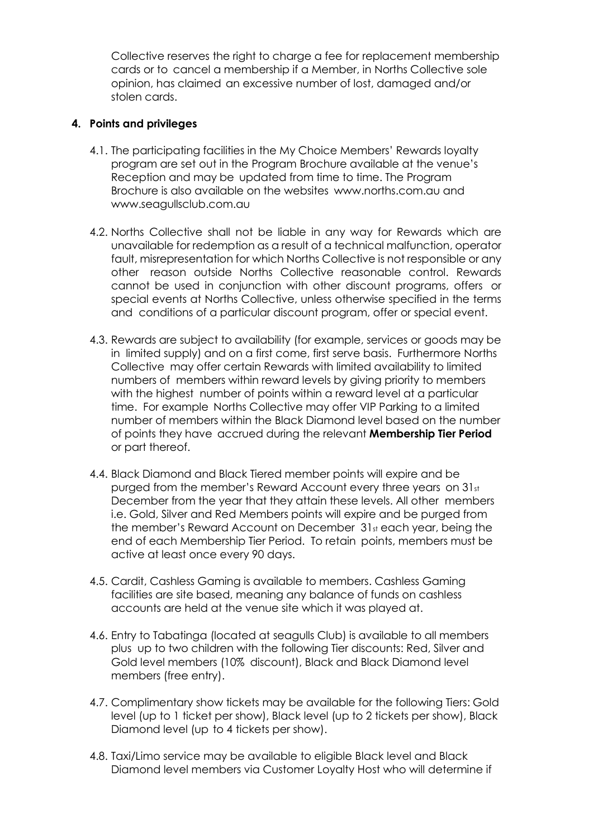Collective reserves the right to charge a fee for replacement membership cards or to cancel a membership if a Member, in Norths Collective sole opinion, has claimed an excessive number of lost, damaged and/or stolen cards.

## **4. Points and privileges**

- 4.1. The participating facilities in the My Choice Members' Rewards loyalty program are set out in the Program Brochure available at the venue's Reception and may be updated from time to time. The Program Brochure is also available on the websites [www.norths.com.au](http://www.norths.com.au/) and [www.seagullsclub.com.au](http://www.seagullsclub.com.au/)
- 4.2. Norths Collective shall not be liable in any way for Rewards which are unavailable for redemption as a result of a technical malfunction, operator fault, misrepresentation for which Norths Collective is not responsible or any other reason outside Norths Collective reasonable control. Rewards cannot be used in conjunction with other discount programs, offers or special events at Norths Collective, unless otherwise specified in the terms and conditions of a particular discount program, offer or special event.
- 4.3. Rewards are subject to availability (for example, services or goods may be in limited supply) and on a first come, first serve basis. Furthermore Norths Collective may offer certain Rewards with limited availability to limited numbers of members within reward levels by giving priority to members with the highest number of points within a reward level at a particular time. For example Norths Collective may offer VIP Parking to a limited number of members within the Black Diamond level based on the number of points they have accrued during the relevant **Membership Tier Period** or part thereof.
- 4.4. Black Diamond and Black Tiered member points will expire and be purged from the member's Reward Account every three years on 31st December from the year that they attain these levels. All other members i.e. Gold, Silver and Red Members points will expire and be purged from the member's Reward Account on December 31st each year, being the end of each Membership Tier Period. To retain points, members must be active at least once every 90 days.
- 4.5. Cardit, Cashless Gaming is available to members. Cashless Gaming facilities are site based, meaning any balance of funds on cashless accounts are held at the venue site which it was played at.
- 4.6. Entry to Tabatinga (located at seagulls Club) is available to all members plus up to two children with the following Tier discounts: Red, Silver and Gold level members (10% discount), Black and Black Diamond level members (free entry).
- 4.7. Complimentary show tickets may be available for the following Tiers: Gold level (up to 1 ticket per show), Black level (up to 2 tickets per show), Black Diamond level (up to 4 tickets per show).
- 4.8. Taxi/Limo service may be available to eligible Black level and Black Diamond level members via Customer Loyalty Host who will determine if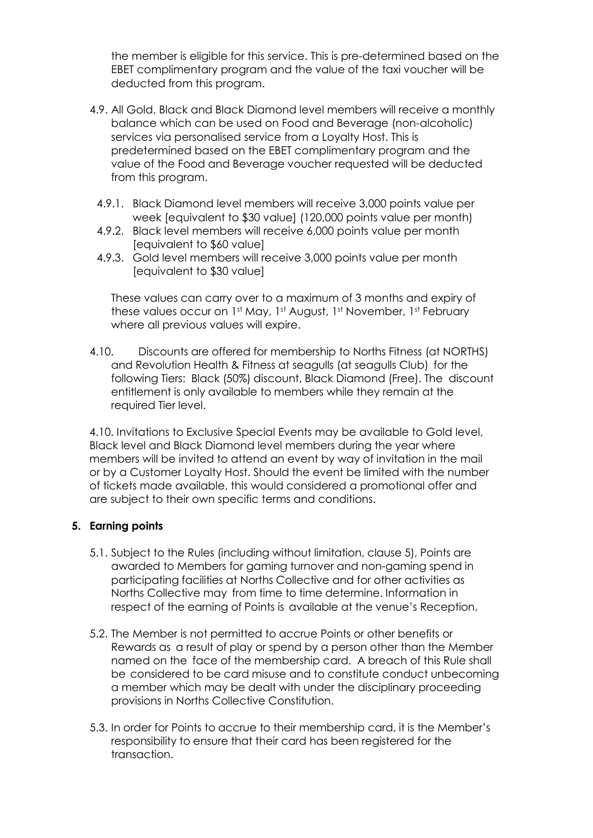the member is eligible for this service. This is pre-determined based on the EBET complimentary program and the value of the taxi voucher will be deducted from this program.

- 4.9. All Gold, Black and Black Diamond level members will receive a monthly balance which can be used on Food and Beverage (non-alcoholic) services via personalised service from a Loyalty Host. This is predetermined based on the EBET complimentary program and the value of the Food and Beverage voucher requested will be deducted from this program.
	- 4.9.1. Black Diamond level members will receive 3,000 points value per week [equivalent to \$30 value] (120,000 points value per month)
	- 4.9.2. Black level members will receive 6,000 points value per month [equivalent to \$60 value]
	- 4.9.3. Gold level members will receive 3,000 points value per month [equivalent to \$30 value]

These values can carry over to a maximum of 3 months and expiry of these values occur on 1<sup>st</sup> May, 1<sup>st</sup> August, 1<sup>st</sup> November, 1st February where all previous values will expire.

4.10. Discounts are offered for membership to Norths Fitness (at NORTHS) and Revolution Health & Fitness at seagulls (at seagulls Club) for the following Tiers: Black (50%) discount, Black Diamond (Free). The discount entitlement is only available to members while they remain at the required Tier level.

4.10. Invitations to Exclusive Special Events may be available to Gold level, Black level and Black Diamond level members during the year where members will be invited to attend an event by way of invitation in the mail or by a Customer Loyalty Host. Should the event be limited with the number of tickets made available, this would considered a promotional offer and are subject to their own specific terms and conditions.

## **5. Earning points**

- 5.1. Subject to the Rules (including without limitation, clause 5), Points are awarded to Members for gaming turnover and non-gaming spend in participating facilities at Norths Collective and for other activities as Norths Collective may from time to time determine. Information in respect of the earning of Points is available at the venue's Reception.
- 5.2. The Member is not permitted to accrue Points or other benefits or Rewards as a result of play or spend by a person other than the Member named on the face of the membership card. A breach of this Rule shall be considered to be card misuse and to constitute conduct unbecoming a member which may be dealt with under the disciplinary proceeding provisions in Norths Collective Constitution.
- 5.3. In order for Points to accrue to their membership card, it is the Member's responsibility to ensure that their card has been registered for the transaction.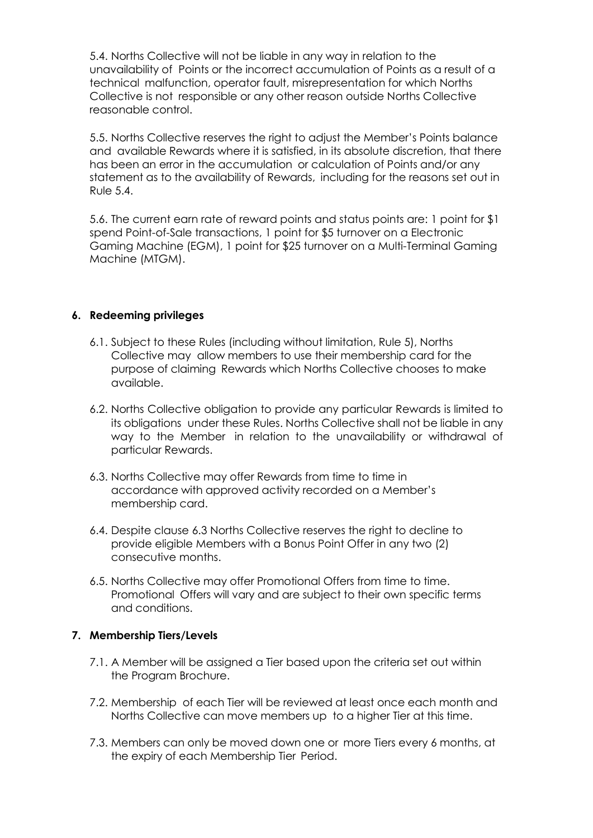5.4. Norths Collective will not be liable in any way in relation to the unavailability of Points or the incorrect accumulation of Points as a result of a technical malfunction, operator fault, misrepresentation for which Norths Collective is not responsible or any other reason outside Norths Collective reasonable control.

5.5. Norths Collective reserves the right to adjust the Member's Points balance and available Rewards where it is satisfied, in its absolute discretion, that there has been an error in the accumulation or calculation of Points and/or any statement as to the availability of Rewards, including for the reasons set out in Rule 5.4.

5.6. The current earn rate of reward points and status points are: 1 point for \$1 spend Point-of-Sale transactions, 1 point for \$5 turnover on a Electronic Gaming Machine (EGM), 1 point for \$25 turnover on a Multi-Terminal Gaming Machine (MTGM).

## **6. Redeeming privileges**

- 6.1. Subject to these Rules (including without limitation, Rule 5), Norths Collective may allow members to use their membership card for the purpose of claiming Rewards which Norths Collective chooses to make available.
- 6.2. Norths Collective obligation to provide any particular Rewards is limited to its obligations under these Rules. Norths Collective shall not be liable in any way to the Member in relation to the unavailability or withdrawal of particular Rewards.
- 6.3. Norths Collective may offer Rewards from time to time in accordance with approved activity recorded on a Member's membership card.
- 6.4. Despite clause 6.3 Norths Collective reserves the right to decline to provide eligible Members with a Bonus Point Offer in any two (2) consecutive months.
- 6.5. Norths Collective may offer Promotional Offers from time to time. Promotional Offers will vary and are subject to their own specific terms and conditions.

## **7. Membership Tiers/Levels**

- 7.1. A Member will be assigned a Tier based upon the criteria set out within the Program Brochure.
- 7.2. Membership of each Tier will be reviewed at least once each month and Norths Collective can move members up to a higher Tier at this time.
- 7.3. Members can only be moved down one or more Tiers every 6 months, at the expiry of each Membership Tier Period.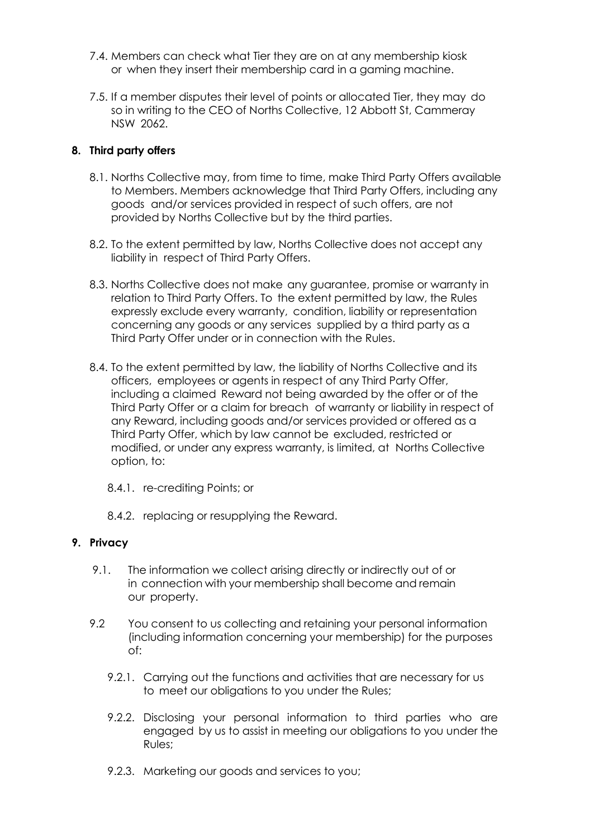- 7.4. Members can check what Tier they are on at any membership kiosk or when they insert their membership card in a gaming machine.
- 7.5. If a member disputes their level of points or allocated Tier, they may do so in writing to the CEO of Norths Collective, 12 Abbott St, Cammeray NSW 2062.

## **8. Third party offers**

- 8.1. Norths Collective may, from time to time, make Third Party Offers available to Members. Members acknowledge that Third Party Offers, including any goods and/or services provided in respect of such offers, are not provided by Norths Collective but by the third parties.
- 8.2. To the extent permitted by law, Norths Collective does not accept any liability in respect of Third Party Offers.
- 8.3. Norths Collective does not make any guarantee, promise or warranty in relation to Third Party Offers. To the extent permitted by law, the Rules expressly exclude every warranty, condition, liability or representation concerning any goods or any services supplied by a third party as a Third Party Offer under or in connection with the Rules.
- 8.4. To the extent permitted by law, the liability of Norths Collective and its officers, employees or agents in respect of any Third Party Offer, including a claimed Reward not being awarded by the offer or of the Third Party Offer or a claim for breach of warranty or liability in respect of any Reward, including goods and/or services provided or offered as a Third Party Offer, which by law cannot be excluded, restricted or modified, or under any express warranty, is limited, at Norths Collective option, to:
	- 8.4.1. re-crediting Points; or
	- 8.4.2. replacing or resupplying the Reward.

#### **9. Privacy**

- 9.1. The information we collect arising directly or indirectly out of or in connection with your membership shall become and remain our property.
- 9.2 You consent to us collecting and retaining your personal information (including information concerning your membership) for the purposes of:
	- 9.2.1. Carrying out the functions and activities that are necessary for us to meet our obligations to you under the Rules;
	- 9.2.2. Disclosing your personal information to third parties who are engaged by us to assist in meeting our obligations to you under the Rules;
	- 9.2.3. Marketing our goods and services to you;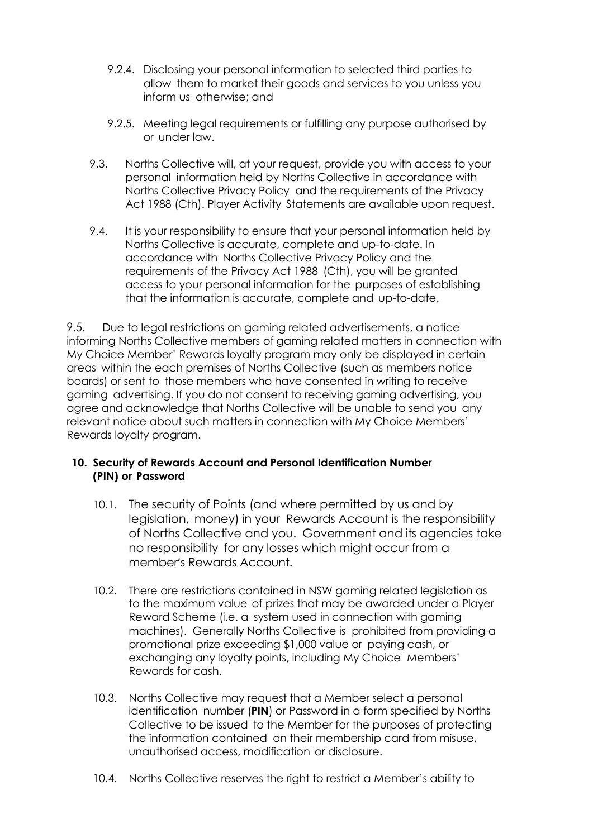- 9.2.4. Disclosing your personal information to selected third parties to allow them to market their goods and services to you unless you inform us otherwise; and
- 9.2.5. Meeting legal requirements or fulfilling any purpose authorised by or under law.
- 9.3. Norths Collective will, at your request, provide you with access to your personal information held by Norths Collective in accordance with Norths Collective Privacy Policy and the requirements of the Privacy Act 1988 (Cth). Player Activity Statements are available upon request.
- 9.4. It is your responsibility to ensure that your personal information held by Norths Collective is accurate, complete and up-to-date. In accordance with Norths Collective Privacy Policy and the requirements of the Privacy Act 1988 (Cth), you will be granted access to your personal information for the purposes of establishing that the information is accurate, complete and up-to-date.

9.5. Due to legal restrictions on gaming related advertisements, a notice informing Norths Collective members of gaming related matters in connection with My Choice Member' Rewards loyalty program may only be displayed in certain areas within the each premises of Norths Collective (such as members notice boards) or sent to those members who have consented in writing to receive gaming advertising. If you do not consent to receiving gaming advertising, you agree and acknowledge that Norths Collective will be unable to send you any relevant notice about such matters in connection with My Choice Members' Rewards loyalty program.

# **10. Security of Rewards Account and Personal Identification Number (PIN) or Password**

- 10.1. The security of Points (and where permitted by us and by legislation, money) in your Rewards Account is the responsibility of Norths Collective and you. Government and its agencies take no responsibility for any losses which might occur from a member's Rewards Account.
- 10.2. There are restrictions contained in NSW gaming related legislation as to the maximum value of prizes that may be awarded under a Player Reward Scheme (i.e. a system used in connection with gaming machines). Generally Norths Collective is prohibited from providing a promotional prize exceeding \$1,000 value or paying cash, or exchanging any loyalty points, including My Choice Members' Rewards for cash.
- 10.3. Norths Collective may request that a Member select a personal identification number (**PIN**) or Password in a form specified by Norths Collective to be issued to the Member for the purposes of protecting the information contained on their membership card from misuse, unauthorised access, modification or disclosure.
- 10.4. Norths Collective reserves the right to restrict a Member's ability to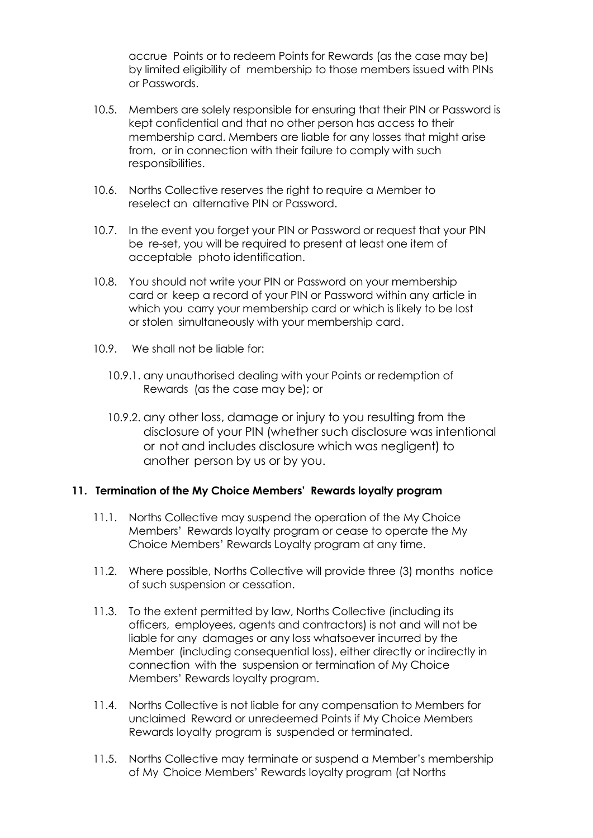accrue Points or to redeem Points for Rewards (as the case may be) by limited eligibility of membership to those members issued with PINs or Passwords.

- 10.5. Members are solely responsible for ensuring that their PIN or Password is kept confidential and that no other person has access to their membership card. Members are liable for any losses that might arise from, or in connection with their failure to comply with such responsibilities.
- 10.6. Norths Collective reserves the right to require a Member to reselect an alternative PIN or Password.
- 10.7. In the event you forget your PIN or Password or request that your PIN be re-set, you will be required to present at least one item of acceptable photo identification.
- 10.8. You should not write your PIN or Password on your membership card or keep a record of your PIN or Password within any article in which you carry your membership card or which is likely to be lost or stolen simultaneously with your membership card.
- 10.9. We shall not be liable for:
	- 10.9.1. any unauthorised dealing with your Points or redemption of Rewards (as the case may be); or
	- 10.9.2. any other loss, damage or injury to you resulting from the disclosure of your PIN (whether such disclosure was intentional or not and includes disclosure which was negligent) to another person by us or by you.

## **11. Termination of the My Choice Members' Rewards loyalty program**

- 11.1. Norths Collective may suspend the operation of the My Choice Members' Rewards loyalty program or cease to operate the My Choice Members' Rewards Loyalty program at any time.
- 11.2. Where possible, Norths Collective will provide three (3) months notice of such suspension or cessation.
- 11.3. To the extent permitted by law, Norths Collective (including its officers, employees, agents and contractors) is not and will not be liable for any damages or any loss whatsoever incurred by the Member (including consequential loss), either directly or indirectly in connection with the suspension or termination of My Choice Members' Rewards loyalty program.
- 11.4. Norths Collective is not liable for any compensation to Members for unclaimed Reward or unredeemed Points if My Choice Members Rewards loyalty program is suspended or terminated.
- 11.5. Norths Collective may terminate or suspend a Member's membership of My Choice Members' Rewards loyalty program (at Norths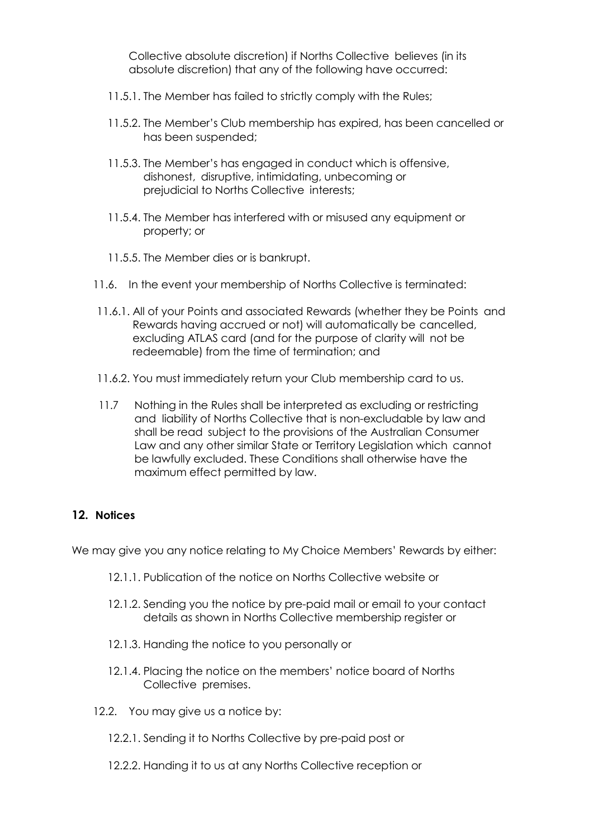Collective absolute discretion) if Norths Collective believes (in its absolute discretion) that any of the following have occurred:

- 11.5.1. The Member has failed to strictly comply with the Rules;
- 11.5.2. The Member's Club membership has expired, has been cancelled or has been suspended;
- 11.5.3. The Member's has engaged in conduct which is offensive, dishonest, disruptive, intimidating, unbecoming or prejudicial to Norths Collective interests;
- 11.5.4. The Member has interfered with or misused any equipment or property; or
- 11.5.5. The Member dies or is bankrupt.
- 11.6. In the event your membership of Norths Collective is terminated:
- 11.6.1. All of your Points and associated Rewards (whether they be Points and Rewards having accrued or not) will automatically be cancelled, excluding ATLAS card (and for the purpose of clarity will not be redeemable) from the time of termination; and
- 11.6.2. You must immediately return your Club membership card to us.
- 11.7 Nothing in the Rules shall be interpreted as excluding or restricting and liability of Norths Collective that is non-excludable by law and shall be read subject to the provisions of the Australian Consumer Law and any other similar State or Territory Legislation which cannot be lawfully excluded. These Conditions shall otherwise have the maximum effect permitted by law.

## **12. Notices**

We may give you any notice relating to My Choice Members' Rewards by either:

- 12.1.1. Publication of the notice on Norths Collective website or
- 12.1.2. Sending you the notice by pre-paid mail or email to your contact details as shown in Norths Collective membership register or
- 12.1.3. Handing the notice to you personally or
- 12.1.4. Placing the notice on the members' notice board of Norths Collective premises.
- 12.2. You may give us a notice by:
	- 12.2.1. Sending it to Norths Collective by pre-paid post or
	- 12.2.2. Handing it to us at any Norths Collective reception or